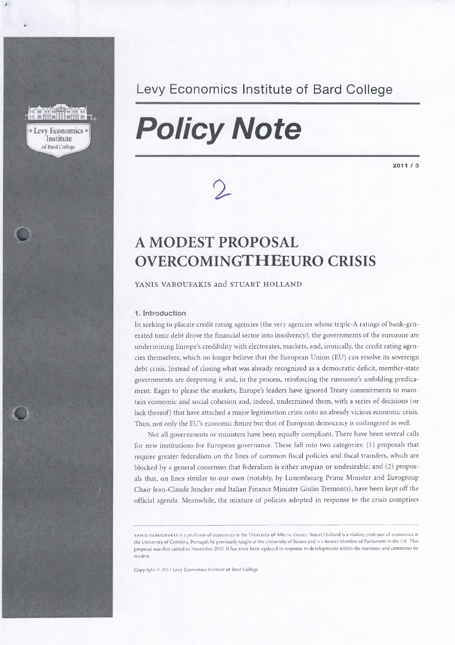### **Levy Economics** o

Institute of Bard College

## Levy Economics Institute of Bard College

# *Policy Note*

2011/3

# **A MODEST PROPOSAL OVERCOMINGTHEEURO CRISIS**

YANIS VAROUFAKIS and STUART HOLLAND

#### **1. Introduction**

In seeking to placate credit rating agencies (the very agencies whose triple-A ratings of bank-generated toxic debt drove the financial sector into insolvency), the governments of the eurozone are undermining Europe's credibility with electorates, markets, and, ironically, the credit rating agencies themselves, which no longer believe that the European Union (EU) can resolve its sovereign debt crisis. Instead of closing what was already recognized as a democratic deficit, member-state governments are deepening it and, in the process, reinforcing the eurozone's unfolding predicament. Eager to please the markets, Europe's leaders have ignored Treaty commitments to maintain economic and social cohesion and, indeed, undermined them, with a series of decisions (or lack thereof) that have attached a major legitimation crisis onto an already vicious economic crisis. Thus, not only the EU's economic future but that of European democracy is endangered as well.

Not all governments or ministers have been equally compliant. There have been several calls for new institutions for European governance. These fall into two categories: (1) proposals that require greater federalism on the lines of common fiscal policies and fiscal transfers, which are blocked by a general consensus that federalism is either utopian or undesirable; and (2) proposals that, on lines similar to our own (notably, by Luxembourg Prime Minister and Eurogroup Chair Jean-Claude Juncker and Italian Finance Minister Giulio Tremonti), have been kept off the official agenda. Meanwhile, the mixture of policies adopted in response to the crisis comprises

yanis varoufakis is a professor of economics at the University of Athens, Greece. Stuart Holland is a visiting professor of economics at the University of Coimbra, Portugal; he previously taught at the University of Sussex and is a former Member of Parliament in the UK. This proposal was first tabled in November 2010. It has since been updated in response to developments within the eurozone and comments by readers.

Copyright *©* 2011 Levy Economics Institute of Bard College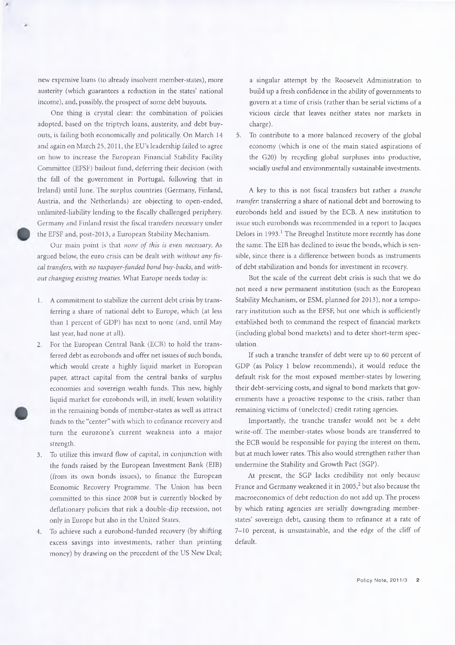new expensive loans (to already insolvent member-states), more austerity (which guarantees a reduction in the states' national income), and, possibly, the prospect of some debt buyouts.

One thing is crystal clear: the combination of policies adopted, based on the triptych loans, austerity, and debt buyouts, is failing both economically and politically. On March 14 and again on March 25,2011, the EU's leadership failed to agree on how to increase the European Financial Stability Facility Committee (EFSF) bailout fund, deferring their decision (with the fall of the government in Portugal, following that in Ireland) until June. The surplus countries (Germany, Finland, Austria, and the Netherlands) are objecting to open-ended, unlimited-liability lending to the fiscally challenged periphery. Germany and Finland resist the fiscal transfers necessary under the EFSF and, post-2013, a European Stability Mechanism.

Our main point is that *none of this is even necessary.* As argued below, the euro crisis can be dealt with *without any fiscal transfers*, with *no taxpayer-funded bond buy-backs,* and *without changing existing treaties.* What Europe needs today is:

- 1. A commitment to stabilize the current debt crisis by transferring a share of national debt to Europe, which (at less than 1 percent of GDP) has next to none (and, until May last year, had none at all).
- 2. For the European Central Bank (ECB) to hold the transferred debt as eurobonds and offer net issues of such bonds, which would create a highly liquid market in European paper, attract capital from the central banks of surplus economies and sovereign wealth funds. This new, highly liquid market for eurobonds will, in itself, lessen volatility in the remaining bonds of member-states as well as attract funds to the "center" with which to cofinance recovery and turn the eurozone's current weakness into a major strength.
- 3. To utilize this inward flow of capital, in conjunction with the funds raised by the European Investment Bank (EIB) (from its own bonds issues), to finance the European Economic Recovery Programme. The Union has been committed to this since 2008 but is currently blocked by deflationary policies that risk a double-dip recession, not only in Europe but also in the United States.
- 4. To achieve such a eurobond-funded recovery (by shifting excess savings into investments, rather than printing money) by drawing on the precedent of the US New Deal;

a singular attempt by the Roosevelt Administration to build up a fresh confidence in the ability of governments to govern at a time of crisis (rather than be serial victims of a vicious circle that leaves neither states nor markets in charge).

5. To contribute to a more balanced recovery of the global economy (which is one of the main stated aspirations of the G20) by recycling global surpluses into productive, socially useful and environmentally sustainable investments.

A key to this is not fiscal transfers but rather a *tranche transfer:* transferring a share of national debt and borrowing to eurobonds held and issued by the ECB. A new institution to issue such eurobonds was recommended in a report to Jacques Delors in 1993.<sup>1</sup> The Breughel Institute more recently has done the same. The EIB has declined to issue the bonds, which is sensible, since there is a difference between bonds as instruments of debt stabilization and bonds for investment in recovery.

But the scale of the current debt crisis is such that we do not need a new permanent institution (such as the European Stability Mechanism, or ESM, planned for 2013), nor a temporary institution such as the EFSF, but one which is sufficiently established both to command the respect of financial markets (including global bond markets) and to deter short-term speculation.

If such a tranche transfer of debt were up to 60 percent of GDP (as Policy 1 below recommends), it would reduce the default risk for the most exposed member-states by lowering their debt-servicing costs, and signal to bond markets that governments have a proactive response to the crisis, rather than remaining victims of (unelected) credit rating agencies.

Importantly, the tranche transfer would not be a debt write-off. The member-states whose bonds are transferred to the ECB would be responsible for paying the interest on them, but at much lower rates. This also would strengthen rather than undermine the Stability and Growth Pact (SGP).

At present, the SGP lacks credibility not only because France and Germany weakened it in  $2005<sup>2</sup>$  but also because the macroeconomics of debt reduction do not add up. The process by which rating agencies are serially downgrading memberstates' sovereign debt, causing them to refinance at a rate of 7-10 percent, is unsustainable, and the edge of the cliff of default.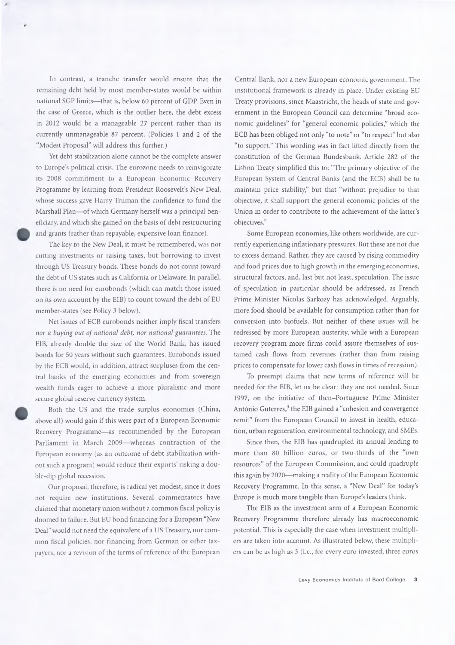In contrast, a tranche transfer would ensure that the remaining debt held by most member-states would be within national SGP limits—that is, below 60 percent of GDP. Even in the case of Greece, which is the outlier here, the debt excess in 2012 would be a manageable 27 percent rather than its currently unmanageable 87 percent. (Policies 1 and 2 of the "Modest Proposal" will address this further.)

Yet debt stabilization alone cannot be the complete answer to Europe's political crisis. The eurozone needs to reinvigorate its 2008 commitment to a European Economic Recovery Programme by learning from President Roosevelt's New Deal, whose success gave Harry Truman the confidence to fund the Marshall Plan—of which Germany herself was a principal beneficiary, and which she gained on the basis of debt restructuring and grants (rather than repayable, expensive loan finance).

The key to the New Deal, it must be remembered, was not cutting investments or raising taxes, but borrowing to invest through US Treasury bonds. These bonds do not count toward the debt of US states such as California or Delaware. In parallel, there is no need for eurobonds (which can match those issued on its own account by the EIB) to count toward the debt of EU member-states (see Policy 3 below).

Net issues of ECB eurobonds neither imply fiscal transfers *nor a buying out of national debt, nor national guarantees.* The EIB, already double the size of the World Bank, has issued bonds for 50 years without such guarantees. Eurobonds issued by the ECB would, in addition, attract surpluses from the central banks of the emerging economies and from sovereign wealth funds eager to achieve a more pluralistic and more secure global reserve currency system.

Both the US and the trade surplus economies (China, above all) would gain if this were part of a European Economic Recovery Programme—as recommended by the European Parliament in March 2009—whereas contraction of the European economy (as an outcome of debt stabilization without such a program) would reduce their exports' risking a double-dip global recession.

Our proposal, therefore, is radical yet modest, since it does not require new institutions. Several commentators have claimed that monetary union without a common fiscal policy is doomed to failure. But EU bond financing for a European "New Deal" would not need the equivalent of a US Treasury, nor common fiscal policies, nor financing from German or other taxpayers, nor a revision of the terms of reference of the European

Central Bank, nor a new European economic government. The institutional framework is already in place. Under existing EU Treaty provisions, since Maastricht, the heads of state and government in the European Council can determine "broad economic guidelines" for "general economic policies," which the ECB has been obliged not only "to note" or "to respect" but also "to support." This wording was in fact lifted directly from the constitution of the German Bundesbank. Article 282 of the Lisbon Treaty simplified this to: "The primary objective of the European System of Central Banks (and the ECB) shall be to maintain price stability," but that "without prejudice to that objective, it shall support the general economic policies of the Union in order to contribute to the achievement of the latter's objectives."

Some European economies, like others worldwide, are currently experiencing inflationary pressures. But these are not due to excess demand. Rather, they are caused by rising commodity and food prices due to high growth in the emerging economies, structural factors, and, last but not least, speculation. The issue of speculation in particular should be addressed, as French Prime Minister Nicolas Sarkozy has acknowledged. Arguably, more food should be available for consumption rather than for conversion into biofuels. But neither of these issues will be redressed by more European austerity, while with a European recovery program more firms could assure themselves of sustained cash flows from revenues (rather than from raising prices to compensate for lower cash flows in times of recession).

To preempt claims that new terms of reference will be needed for the EIB, let us be clear: they are not needed. Since 1997, on the initiative of then-Portuguese Prime Minister António Guterres,<sup>3</sup> the EIB gained a "cohesion and convergence remit" from the European Council to invest in health, education, urban regeneration, environmental technology, and SMEs.

Since then, the EIB has quadrupled its annual lending to more than 80 billion euros, or two-thirds of the "own resources" of the European Commission, and could quadruple this again by 2020—making a reality of the European Economic Recovery Programme. In this sense, a "New Deal" for today's Europe is much more tangible than Europe's leaders think.

The EIB as the investment arm of a European Economic Recovery Programme therefore already has macroeconomic potential. This is especially the case when investment multipliers are taken into account. As illustrated below, these multipliers can be as high as 3 (i.e., for every euro invested, three euros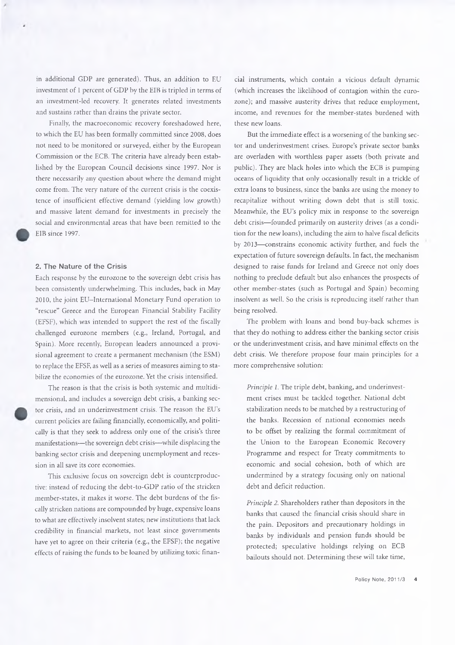in additional GDP are generated). Thus, an addition to EU investment of 1 percent of GDP by the EIB is tripled in terms of an investment-led recovery. It generates related investments and sustains rather than drains the private sector.

Finally, the macroeconomic recovery foreshadowed here, to which the EU has been formally committed since 2008, does not need to be monitored or surveyed, either by the European Commission or the ECB. The criteria have already been established by the European Council decisions since 1997. Nor is there necessarily any question about where the demand might come from. The very nature of the current crisis is the coexistence of insufficient effective demand (yielding low growth) and massive latent demand for investments in precisely the social and environmental areas that have been remitted to the EIB since 1997.

#### **2. The Nature of the Crisis**

Each response by the eurozone to the sovereign debt crisis has been consistently underwhelming. This includes, back in May 2010, the joint EU-International Monetary Fund operation to "rescue" Greece and the European Financial Stability Facility (EFSF), which was intended to support the rest of the fiscally challenged eurozone members (e.g., Ireland, Portugal, and Spain). More recently, European leaders announced a provisional agreement to create a permanent mechanism (the ESM) to replace the EFSF, as well as a series of measures aiming to stabilize the economies of the eurozone. Yet the crisis intensified.

The reason is that the crisis is both systemic and multidimensional, and includes a sovereign debt crisis, a banking sector crisis, and an underinvestment crisis. The reason the EU's current policies are failing financially, economically, and politically is that they seek to address only one of the crisis's three manifestations—the sovereign debt crisis—while displacing the banking sector crisis and deepening unemployment and recession in all save its core economies.

This exclusive focus on sovereign debt is counterproductive: instead of reducing the debt-to-GDP ratio of the stricken member-states, it makes it worse. The debt burdens of the fiscally stricken nations are compounded by huge, expensive loans to what are effectively insolvent states; new institutions that lack credibility in financial markets, not least since governments have yet to agree on their criteria (e.g., the EFSF); the negative effects of raising the funds to be loaned by utilizing toxic finan-

cial instruments, which contain a vicious default dynamic (which increases the likelihood of contagion within the eurozone); and massive austerity drives that reduce employment, income, and revenues for the member-states burdened with these new loans.

But the immediate effect is a worsening of the banking sector and underinvestment crises. Europe's private sector banks are overladen with worthless paper assets (both private and public). They are black holes into which the ECB is pumping oceans of liquidity that only occasionally result in a trickle of extra loans to business, since the banks are using the money to recapitalize without writing down debt that is still toxic. Meanwhile, the EU's policy mix in response to the sovereign debt crisis—founded primarily on austerity drives (as a condition for the new loans), including the aim to halve fiscal deficits by 2013—constrains economic activity further, and fuels the expectation of future sovereign defaults. In fact, the mechanism designed to raise funds for Ireland and Greece not only does nothing to preclude default but also enhances the prospects of other member-states (such as Portugal and Spain) becoming insolvent as well. So the crisis is reproducing itself rather than being resolved.

The problem with loans and bond buy-back schemes is that they do nothing to address either the banking sector crisis or the underinvestment crisis, and have minimal effects on the debt crisis. We therefore propose four main principles for a more comprehensive solution:

*Principle 1.* The triple debt, banking, and underinvestment crises must be tackled together. National debt stabilization needs to be matched by a restructuring of the banks. Recession of national economies needs to be offset by realizing the formal commitment of the Union to the European Economic Recovery Programme and respect for Treaty commitments to economic and social cohesion, both of which are undermined by a strategy focusing only on national debt and deficit reduction.

*Principle 2.* Shareholders rather than depositors in the banks that caused the financial crisis should share in the pain. Depositors and precautionary holdings in banks by individuals and pension funds should be protected; speculative holdings relying on ECB bailouts should not. Determining these will take time,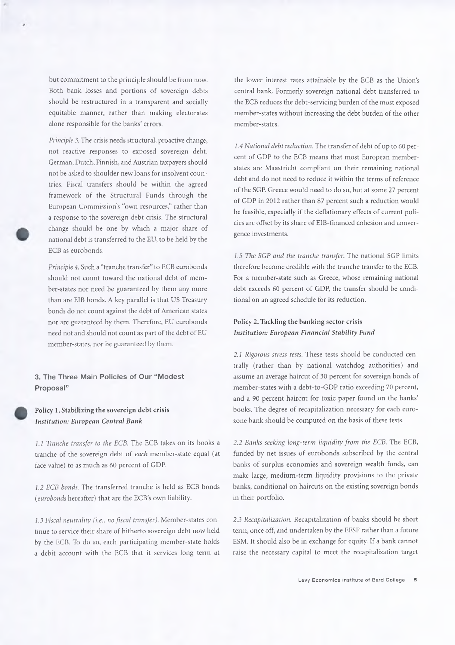but commitment to the principle should be from now. Both bank losses and portions of sovereign debts should be restructured in a transparent and socially equitable manner, rather than making electorates alone responsible for the banks' errors.

*Principle 3.* The crisis needs structural, proactive change, not reactive responses to exposed sovereign debt. German, Dutch, Finnish, and Austrian taxpayers should not be asked to shoulder new loans for insolvent countries. Fiscal transfers should be within the agreed framework of the Structural Funds through the European Commission's "own resources," rather than a response to the sovereign debt crisis. The structural change should be one by which a major share of national debt is transferred to the EU, to be held by the ECB as eurobonds.

*Principle 4.* Such a "tranche transfer" to ECB eurobonds should not count toward the national debt of member-states nor need be guaranteed by them any more than are EIB bonds. A key parallel is that US Treasury bonds do not count against the debt of American states nor are guaranteed by them. Therefore, EU eurobonds need not and should not count as part of the debt of EU member-states, nor be guaranteed by them.

**3. The Three Main Policies of Our "Modest Proposal"**

#### Policy 1. Stabilizing the sovereign debt crisis *Institution: European Central Bank*

*1.1 Tranche transfer to the ECB.* The ECB takes on its books a tranche of the sovereign debt of *each* member-state equal (at face value) to as much as 60 percent of GDP.

*1.2 ECB bonds.* The transferred tranche is held as ECB bonds *(eurobonds* hereafter) that are the ECB's own liability.

*1.3 Fiscal neutrality (i.e., no fiscal transfer).* Member-states continue to service their share of hitherto sovereign debt now held by the ECB. To do so, each participating member-state holds a debit account with the ECB that it services long term at

the lower interest rates attainable by the ECB as the Union's central bank. Formerly sovereign national debt transferred to the ECB reduces the debt-servicing burden of the most exposed member-states without increasing the debt burden of the other member-states.

*1.4 National debt reduction.* The transfer of debt of up to 60 percent of GDP to the ECB means that most European memberstates are Maastricht compliant on their remaining national debt and do not need to reduce it within the terms of reference of the SGP. Greece would need to do so, but at some 27 percent of GDP in 2012 rather than 87 percent such a reduction would be feasible, especially if the deflationary effects of current policies are offset by its share of EIB-financed cohesion and convergence investments.

*1.5 The SGP and the tranche transfer.* The national SGP limits therefore become credible with the tranche transfer to the ECB. For a member-state such as Greece, whose remaining national debt exceeds 60 percent of GDP, the transfer should be conditional on an agreed schedule for its reduction.

#### Policy 2. Tackling the banking sector crisis *Institution: European Financial Stability Fund*

*2.1 Rigorous stress tests.* These tests should be conducted centrally (rather than by national watchdog authorities) and assume an average haircut of 30 percent for sovereign bonds of member-states with a debt-to-GDP ratio exceeding 70 percent, and a 90 percent haircut for toxic paper found on the banks' books. The degree of recapitalization necessary for each eurozone bank should be computed on the basis of these tests.

*2.2 Banks seeking long-term liquidity from the ECB.* The ECB, funded by net issues of eurobonds subscribed by the central banks of surplus economies and sovereign wealth funds, can make large, medium-term liquidity provisions to the private banks, conditional on haircuts on the existing sovereign bonds in their portfolio.

*2.3 Recapitalization.* Recapitalization of banks should be short term, once off, and undertaken by the EFSF rather than a future ESM. It should also be in exchange for equity. If a bank cannot raise the necessary capital to meet the recapitalization target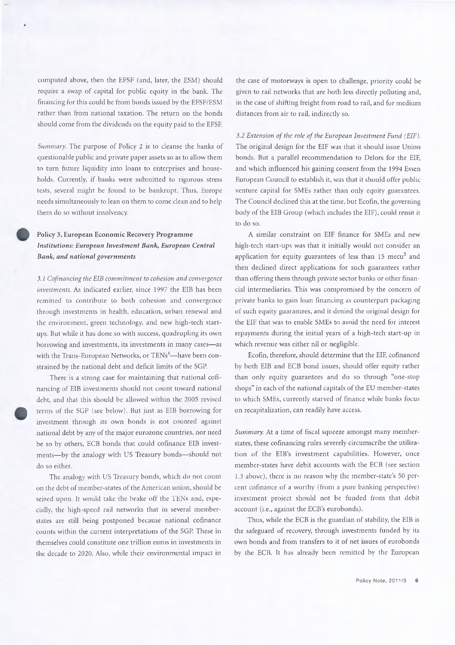computed above, then the EFSF (and, later, the ESM) should require a swap of capital for public equity in the bank. The financing for this could be from bonds issued by the EFSF/ESM rather than from national taxation. The return on the bonds should come from the dividends on the equity paid to the EFSF.

*Summary.* The purpose of Policy 2 is to cleanse the banks of questionable public and private paper assets so as to allow them to turn future liquidity into loans to enterprises and households. Currently, if banks were submitted to rigorous stress tests, several might be found to be bankrupt. Thus, Europe needs simultaneously to lean on them to come clean and to help them do so without insolvency.

#### Policy 3. European Economic Recovery Programme *Institutions: European Investment Bank, European Central Bank, and national governments*

*3.1 Cofinancing the EIB commitment to cohesion and convergence investments.* As indicated earlier, since 1997 the EIB has been remitted to contribute to both cohesion and convergence through investments in health, education, urban renewal and the environment, green technology, and new high-tech startups. But while it has done so with success, quadrupling its own borrowing and investments, its investments in many cases—as with the Trans-European Networks, or TENs<sup>4</sup>—have been constrained by the national debt and deficit limits of the SGP.

There is a strong case for maintaining that national cofinancing of EIB investments should not count toward national debt, and that this should be allowed within the 2005 revised terms of the SGP (see below). But just as EIB borrowing for investment through its own bonds is not counted against national debt by any of the major eurozone countries, nor need be so by others, ECB bonds that could cofinance EIB investments—by the analogy with US Treasury bonds—should not do so either.

The analogy with US Treasury bonds, which do not count on the debt of member-states of the American union, should be seized upon. It would take the brake off the TENs and, especially, the high-speed rail networks that in several memberstates are still being postponed because national cofinance counts within the current interpretations of the SGP. These in themselves could constitute one trillion euros in investments in the decade to 2020. Also, while their environmental impact in

the case of motorways is open to challenge, priority could be given to rail networks that are both less directly polluting and, in the case of shifting freight from road to rail, and for medium distances from air to rail, indirectly so.

*3.2 Extension of the role of the European Investment Fund (EIF).* The original design for the EIF was that it should issue Union bonds. But a parallel recommendation to Delors for the EIF, and which influenced his gaining consent from the 1994 Essen European Council to establish it, was that it should offer public venture capital for SMEs rather than only equity guarantees. The Council declined this at the time, but Ecofin, the governing body of the EIB Group (which includes the EIF), could remit it to do so.

A similar constraint on EIF finance for SMEs and new high-tech start-ups was that it initially would not consider an application for equity guarantees of less than 15 mecu<sup>5</sup> and then declined direct applications for such guarantees rather than offering them through private sector banks or other financial intermediaries. This was compromised by the concern of private banks to gain loan financing as counterpart packaging of such equity guarantees, and it denied the original design for the EIF that was to enable SMEs to avoid the need for interest repayments during the initial years of a high-tech start-up in which revenue was either nil or negligible.

Ecofin, therefore, should determine that the EIF, cofinanced by both EIB and ECB bond issues, should offer equity rather than only equity guarantees and do so through "one-stop shops" in each of the national capitals of the EU member-states to which SMEs, currently starved of finance while banks focus on recapitalization, can readily have access.

*Summary.* At a time of fiscal squeeze amongst many memberstates, these cofinancing rules severely circumscribe the utilization of the EIB's investment capabilities. However, once member-states have debit accounts with the ECB (see section 1.3 above), there is no reason why the member-state's 50 percent cofmance of a worthy (from a pure banking perspective) investment project should not be funded from that debit account (i.e., against the ECB's eurobonds).

Thus, while the ECB is the guardian of stability, the EIB is the safeguard of recovery, through investments funded by its own bonds and from transfers to it of net issues of eurobonds by the ECB. It has already been remitted by the European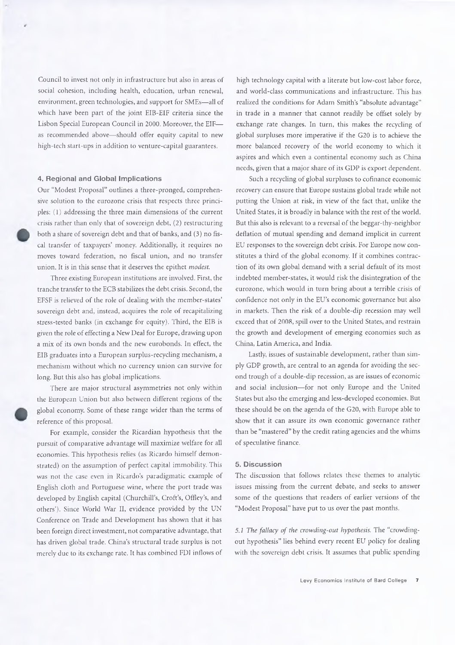Council to invest not only in infrastructure but also in areas of social cohesion, including health, education, urban renewal, environment, green technologies, and support for SMEs—all of which have been part of the joint EIB-EIF criteria since the Lisbon Special European Council in 2000. Moreover, the EIF as recommended above—should offer equity capital to new high-tech start-ups in addition to venture-capital guarantees.

#### **4. Regional and Global Implications**

Our "Modest Proposal" outlines a three-pronged, comprehensive solution to the eurozone crisis that respects three principles: (1) addressing the three main dimensions of the current crisis rather than only that of sovereign debt, (2) restructuring both a share of sovereign debt and that of banks, and (3) no fiscal transfer of taxpayers' money. Additionally, it requires no moves toward federation, no fiscal union, and no transfer union. It is in this sense that it deserves the epithet *modest.*

Three existing European institutions are involved. First, the tranche transfer to the ECB stabilizes the debt crisis. Second, the EFSF is relieved of the role of dealing with the member-states' sovereign debt and, instead, acquires the role of recapitalizing stress-tested banks (in exchange for equity). Third, the EIB is given the role of effecting a New Deal for Europe, drawing upon a mix of its own bonds and the new eurobonds. In effect, the EIB graduates into a European surplus-recycling mechanism, a mechanism without which no currency union can survive for long. But this also has global implications.

There are major structural asymmetries not only within the European Union but also between different regions of the global economy. Some of these range wider than the terms of reference of this proposal.

For example, consider the Ricardian hypothesis that the pursuit of comparative advantage will maximize welfare for all economies. This hypothesis relies (as Ricardo himself demonstrated) on the assumption of perfect capital immobility. This was not the case even in Ricardo's paradigmatic example of English cloth and Portuguese wine, where the port trade was developed by English capital (Churchill's, Croft's, Offley's, and others'). Since World War II, evidence provided by the UN Conference on Trade and Development has shown that it has been foreign direct investment, not comparative advantage, that has driven global trade. China's structural trade surplus is not merely due to its exchange rate. It has combined FDI inflows of

high technology capital with a literate but low-cost labor force, and world-class communications and infrastructure. This has realized the conditions for Adam Smith's "absolute advantage" in trade in a manner that cannot readily be offset solely by exchange rate changes. In turn, this makes the recycling of global surpluses more imperative if the G20 is to achieve the more balanced recovery of the world economy to which it aspires and which even a continental economy such as China needs, given that a major share of its GDP is export dependent.

Such a recycling of global surpluses to cofinance economic recovery can ensure that Europe sustains global trade while not putting the Union at risk, in view of the fact that, unlike the United States, it is broadly in balance with the rest of the world. But this also is relevant to a reversal of the beggar-thy-neighbor deflation of mutual spending and demand implicit in current EU responses to the sovereign debt crisis. For Europe now constitutes a third of the global economy. If it combines contraction of its own global demand with a serial default of its most indebted member-states, it would risk the disintegration of the eurozone, which would in turn bring about a terrible crisis of confidence not only in the EU's economic governance but also in markets. Then the risk of a double-dip recession may well exceed that of 2008, spill over to the United States, and restrain the growth and development of emerging economies such as China, Latin America, and India.

Lastly, issues of sustainable development, rather than simply GDP growth, are central to an agenda for avoiding the second trough of a double-dip recession, as are issues of economic and social inclusion—for not only Europe and the United States but also the emerging and less-developed economies. But these should be on the agenda of the G20, with Europe able to show that it can assure its own economic governance rather than be "mastered" by the credit rating agencies and the whims of speculative finance.

#### **5. Discussion**

The discussion that follows relates these themes to analytic issues missing from the current debate, and seeks to answer some of the questions that readers of earlier versions of the "Modest Proposal" have put to us over the past months.

5*.1 The fallacy of the crowding-out hypothesis.* The "crowdingout hypothesis" lies behind every recent EU policy for dealing with the sovereign debt crisis. It assumes that public spending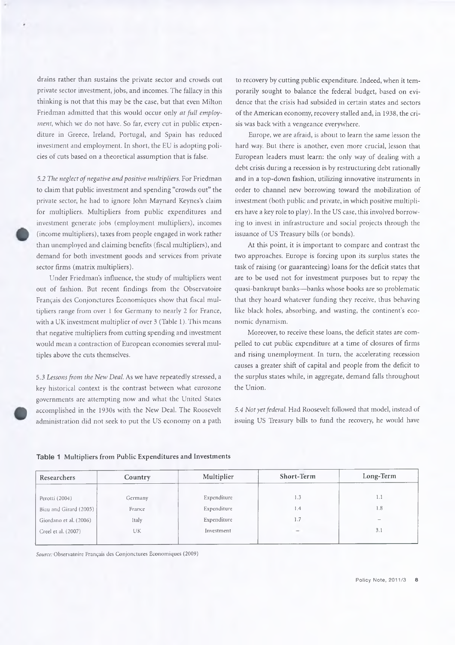drains rather than sustains the private sector and crowds out private sector investment, jobs, and incomes. The fallacy in this thinking is not that this may be the case, but that even Milton Friedman admitted that this would occur only *at full employment,* which we do not have. So far, every cut in public expenditure in Greece, Ireland, Portugal, and Spain has reduced investment and employment. In short, the EU is adopting policies of cuts based on a theoretical assumption that is false.

*5.2 The neglect of negative and positive multipliers.* For Friedman to claim that public investment and spending "crowds out" the private sector, he had to ignore John Maynard Keynes's claim for multipliers. Multipliers from public expenditures and investment generate jobs (employment multipliers), incomes (income multipliers), taxes from people engaged in work rather than unemployed and claiming benefits (fiscal multipliers), and demand for both investment goods and services from private sector firms (matrix multipliers).

Under Friedman's influence, the study of multipliers went out of fashion. But recent findings from the Observatoire Français des Conjonctures Économiques show that fiscal multipliers range from over 1 for Germany to nearly 2 for France, with a UK investment multiplier of over 3 (Table 1). This means that negative multipliers from cutting spending and investment would mean a contraction of European economies several multiples above the cuts themselves.

5.3 *Lessons from the New Deal.* As we have repeatedly stressed, a key historical context is the contrast between what eurozone governments are attempting now and what the United States accomplished in the 1930s with the New Deal. The Roosevelt administration did not seek to put the US economy on a path to recovery by cutting public expenditure. Indeed, when it temporarily sought to balance the federal budget, based on evidence that the crisis had subsided in certain states and sectors of the American economy, recovery stalled and, in 1938, the crisis was back with a vengeance everywhere.

Europe, we are afraid, is about to learn the same lesson the hard way. But there is another, even more crucial, lesson that European leaders must learn: the only way of dealing with a debt crisis during a recession is by restructuring debt rationally and in a top-down fashion, utilizing innovative instruments in order to channel new borrowing toward the mobilization of investment (both public and private, in which positive multipliers have a key role to play). In the US case, this involved borrowing to invest in infrastructure and social projects through the issuance of US Treasury bills (or bonds).

At this point, it is important to compare and contrast the two approaches. Europe is forcing upon its surplus states the task of raising (or guaranteeing) loans for the deficit states that are to be used not for investment purposes but to repay the quasi-bankrupt banks—banks whose books are so problematic that they hoard whatever funding they receive, thus behaving like black holes, absorbing, and wasting, the continent's economic dynamism.

Moreover, to receive these loans, the deficit states are compelled to cut public expenditure at a time of closures of firms and rising unemployment. In turn, the accelerating recession causes a greater shift of capital and people from the deficit to the surplus states while, in aggregate, demand falls throughout the Union.

*5.4 Not yet federal.* Had Roosevelt followed that model, instead of issuing US Treasury bills to fund the recovery, he would have

| Researchers            | Country | Multiplier  | Short-Term | Long-Term |
|------------------------|---------|-------------|------------|-----------|
|                        |         |             |            |           |
| Perotti (2004)         | Germany | Expenditure | 1.3        | 1.1       |
| Biau and Girard (2005) | France  | Expenditure | $\vert A$  | 1.8       |
| Giordano et al. (2006) | Italy   | Expenditure | 1.7        |           |
| Creel et al. (2007)    | UK      | Investment  | $-$        | 3.1       |
|                        |         |             |            |           |

**Table 1** Multipliers from Public Expenditures and Investments

*Source:* Observatoire Français des Conjonctures Économiques (2009)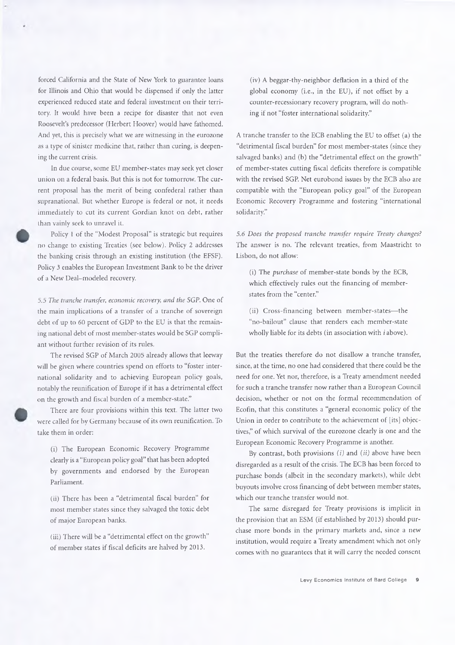forced California and the State of New York to guarantee loans for Illinois and Ohio that would be dispensed if only the latter experienced reduced state and federal investment on their territory. It would have been a recipe for disaster that not even Roosevelt's predecessor (Herbert Hoover) would have fathomed. And yet, this is precisely what we are witnessing in the eurozone as a type of sinister medicine that, rather than curing, is deepening the current crisis.

In due course, some EU member-states may seek yet closer union on a federal basis. But this is not for tomorrow. The current proposal has the merit of being confederal rather than supranational. But whether Europe is federal or not, it needs immediately to cut its current Gordian knot on debt, rather than vainly seek to unravel it.

Policy 1 of the "Modest Proposal" is strategic but requires no change to existing Treaties (sec below). Policy 2 addresses the banking crisis through an existing institution (the EFSF). Policy 3 enables the European Investment Bank to be the driver of a New Deal-modeled recovery.

5.5 *The tranche transfer, economic recovery, and the SGP.* One of the main implications of a transfer of a tranche of sovereign debt of up to 60 percent of GDP to the EU is that the remaining national debt of most member-states would be SGP compliant without further revision of its rules.

The revised SGP of March 2005 already allows that leeway will be given where countries spend on efforts to "foster international solidarity and to achieving European policy goals, notably the reunification of Europe if it has a detrimental effect on the growth and fiscal burden of a member-state."

There are four provisions within this text. The latter two were called for by Germany because of its own reunification. To take them in order:

(i) The European Economic Recovery Programme clearly is a "European policy goal" that has been adopted by governments and endorsed by the European Parliament.

(ii) There has been a "detrimental fiscal burden" for most member states since they salvaged the toxic debt of major European banks.

(iii) There will be a "detrimental effect on the growth" of member states if fiscal deficits are halved by 2013.

(iv) A beggar-thy-neighbor deflation in a third of the global economy (i.e., in the EU), if not offset by a counter-recessionary recovery program, will do nothing if not "foster international solidarity."

A tranche transfer to the ECB enabling the EU to offset (a) the "detrimental fiscal burden" for most member-states (since they salvaged banks) and (b) the "detrimental effect on the growth" of member-states cutting fiscal deficits therefore is compatible with the revised SGP. Net eurobond issues by the ECB also are compatible with the "European policy goal" of the European Economic Recovery Programme and fostering "international solidarity."

*5.6 Does the proposed tranche transfer require Treaty changes?* The answer is no. The relevant treaties, from Maastricht to Lisbon, do not allow:

(i) The *purchase* of member-state bonds by the ECB, which effectively rules out the financing of memberstates from the "center."

(ii) Cross-financing between member-states—the "no-bailout" clause that renders each member-state wholly liable for its debts (in association with *i* above).

But the treaties therefore do not disallow a tranche transfer, since, at the time, no one had considered that there could be the need for one. Yet nor, therefore, is a Treaty amendment needed for such a tranche transfer now rather than a European Council decision, whether or not on the formal recommendation of Ecofin, that this constitutes a "general economic policy of the Union in order to contribute to the achievement of [its] objectives," of which survival of the eurozone clearly is one and the European Economic Recovery Programme is another.

By contrast, both provisions *(i)* and *(ii)* above have been disregarded as a result of the crisis. The ECB has been forced to purchase bonds (albeit in the secondary markets), while debt buyouts involve cross financing of debt between member states, which our tranche transfer would not.

The same disregard for Treaty provisions is implicit in the provision that an ESM (if established by 2013) should purchase more bonds in the primary markets and, since a new institution, would require a Treaty amendment which not only comes with no guarantees that it will carry the needed consent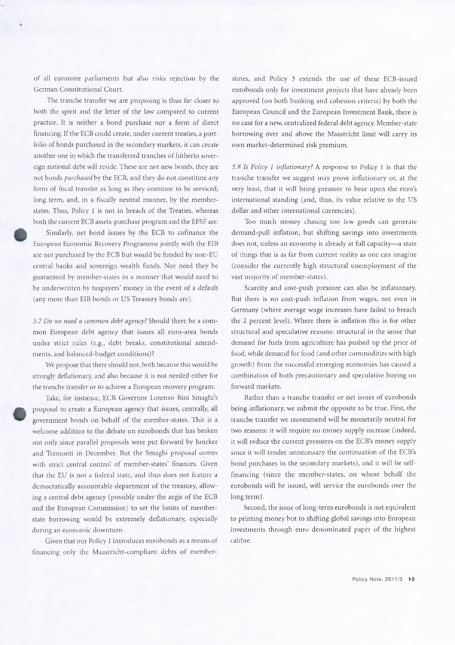of all eurozone parliaments but also risks rejection by the German Constitutional Court.

The tranche transfer we are proposing is thus far closer to both the spirit and the letter of the law compared to current practice. It is neither a bond purchase nor a form of direct financing. If the ECB could create, under current treaties, a portfolio of bonds purchased in the secondary markets, it can create another one in which the transferred tranches of hitherto sovereign national debt will reside. These are not new bonds, they are not bonds *purchased* by the ECB, and they do not constitute any form of fiscal transfer as long as they continue to be serviced, long term, and, in a fiscally neutral manner, by the memberstates. Thus, Policy 1 is not in breach of the Treaties, whereas both the current ECB assets-purchase program and the EFSF are.

Similarly, net bond issues by the ECB to cofmance the European Economic Recovery Programme jointly with the EIB are not purchased by the ECB but would be funded by non-EU central banks and sovereign wealth funds. Nor need they be guaranteed by member-states in a manner that would need to be underwritten by taxpayers' money in the event of a default (any more than EIB bonds or US Treasury bonds are).

*5.7 Do we need a common debt agency?* Should there be a common European debt agency that issues all euro-area bonds under strict rules (e.g., debt breaks, constitutional amendments, and balanced-budget conditions)?

We propose that there should not, both because this would be strongly deflationary, and also because it is not needed either for the tranche transfer or to achieve a European recovery program.

Take, for instance, ECB Governor Lorenzo Bini Smaghi's proposal to create a European agency that issues, centrally, all government bonds on behalf of the member-states. This is a welcome addition to the debate on eurobonds that has broken out only since parallel proposals were put forward by Juncker and Tremonti in December. But the Smaghi proposal comes with strict central control of member-states' finances. Given that the EU is not a federal state, and thus does not feature a democratically accountable department of the treasury, allowing a central debt agency (possibly under the aegis of the ECB and the European Commission) to set the limits of memberstate borrowing would be extremely deflationary, especially during an economic downturn.

Given that our Policy 1 introduces eurobonds as a means of financing only the Maastricht-compliant debts of member-

states, and Policy 3 extends the use of these ECB-issued eurobonds only for investment projects that have already been approved (on both banking and cohesion criteria) by both the European Council and the European Investment Bank, there is no case for a new, centralized federal debt agency. Member-state borrowing over and above the Maastricht limit will carry its own market-determined risk premium.

*5.8* is *Policy 1 inflationary?* A response to Policy 1 is that the tranche transfer we suggest may prove inflationary or, at the very least, that it will bring pressure to bear upon the euro's international standing (and, thus, its value relative to the US dollar and other international currencies).

Too much money chasing too few goods can generate demand-pull inflation, but shifting savings into investments does not, unless an economy is already at full capacity—a state of things that is as far from current reality as one can imagine (consider the currently high structural unemployment of the vast majority of member-states).

Scarcity and cost-push pressure can also be inflationary. But there is no cost-push inflation from wages, not even in Germany (where average wage increases have failed to breach the 2 percent level). Where there is inflation this is for other structural and speculative reasons: structural in the sense that demand for fuels from agriculture has pushed up the price of food, while demand for food (and other commodities with high growth) from the successful emerging economies has caused a combination of both precautionary and speculative buying on forward markets.

Rather than a tranche transfer or net issues of eurobonds being inflationary, we submit the opposite to be true. First, the tranche transfer we recommend will be monetarily neutral for two reasons: it will require no money supply increase (indeed, it will reduce the current pressures on the ECB's money supply since it will render unnecessary the continuation of the ECB's bond purchases in the secondary markets), and it will be selffinancing (since the member-states, on whose behalf the eurobonds will be issued, will service the eurobonds over the long term).

Second, the issue of long-term eurobonds is not equivalent to printing money but to shifting global savings into European investments through euro denominated paper of the highest calibre.